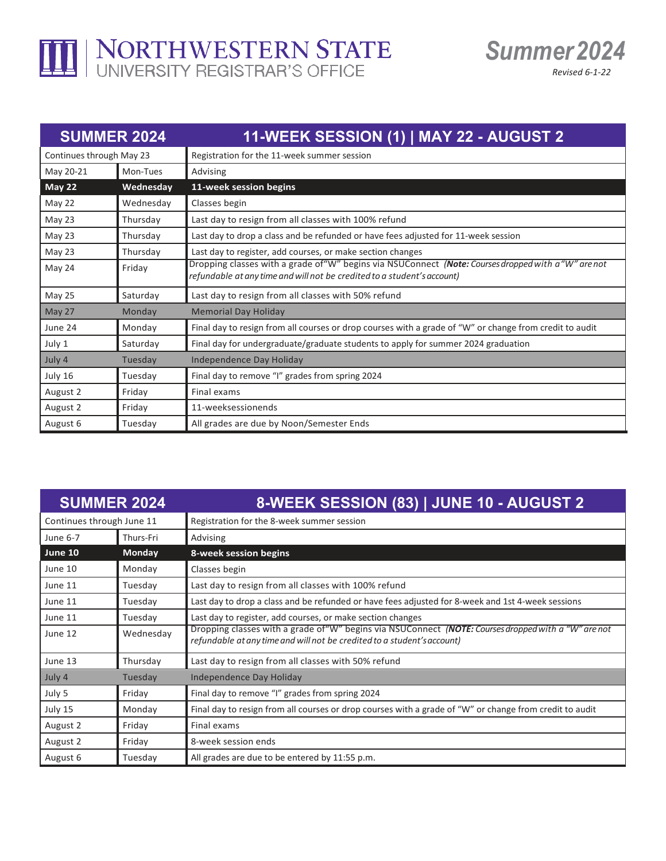

| <b>SUMMER 2024</b><br>Continues through May 23 |           | 11-WEEK SESSION (1)   MAY 22 - AUGUST 2<br>Registration for the 11-week summer session                                                                                          |
|------------------------------------------------|-----------|---------------------------------------------------------------------------------------------------------------------------------------------------------------------------------|
|                                                |           |                                                                                                                                                                                 |
| May 22                                         | Wednesday | 11-week session begins                                                                                                                                                          |
| May 22                                         | Wednesday | Classes begin                                                                                                                                                                   |
| May 23                                         | Thursday  | Last day to resign from all classes with 100% refund                                                                                                                            |
| May 23                                         | Thursday  | Last day to drop a class and be refunded or have fees adjusted for 11-week session                                                                                              |
| May 23                                         | Thursday  | Last day to register, add courses, or make section changes                                                                                                                      |
| May 24                                         | Friday    | Dropping classes with a grade of "W" begins via NSUConnect (Note: Courses dropped with a "W" are not<br>refundable at any time and will not be credited to a student's account) |
| <b>May 25</b>                                  | Saturday  | Last day to resign from all classes with 50% refund                                                                                                                             |
| May 27                                         | Monday    | <b>Memorial Day Holiday</b>                                                                                                                                                     |
| June 24                                        | Monday    | Final day to resign from all courses or drop courses with a grade of "W" or change from credit to audit                                                                         |
| July 1                                         | Saturday  | Final day for undergraduate/graduate students to apply for summer 2024 graduation                                                                                               |
| July 4                                         | Tuesday   | Independence Day Holiday                                                                                                                                                        |
| July 16                                        | Tuesday   | Final day to remove "I" grades from spring 2024                                                                                                                                 |
| August 2                                       | Friday    | Final exams                                                                                                                                                                     |
| August 2                                       | Friday    | 11-weeksessionends                                                                                                                                                              |
| August 6                                       | Tuesday   | All grades are due by Noon/Semester Ends                                                                                                                                        |

*Summer2024*

*Revised 6-1-22*

| <b>SUMMER 2024</b>        |               | 8-WEEK SESSION (83)   JUNE 10 - AUGUST 2                                                                                                                                        |
|---------------------------|---------------|---------------------------------------------------------------------------------------------------------------------------------------------------------------------------------|
| Continues through June 11 |               | Registration for the 8-week summer session                                                                                                                                      |
| June 6-7                  | Thurs-Fri     | Advising                                                                                                                                                                        |
| June $10$                 | <b>Monday</b> | 8-week session begins                                                                                                                                                           |
| June 10                   | Monday        | Classes begin                                                                                                                                                                   |
| June 11                   | Tuesday       | Last day to resign from all classes with 100% refund                                                                                                                            |
| June 11                   | Tuesday       | Last day to drop a class and be refunded or have fees adjusted for 8-week and 1st 4-week sessions                                                                               |
| June 11                   | Tuesday       | Last day to register, add courses, or make section changes                                                                                                                      |
| June 12                   | Wednesday     | Dropping classes with a grade of "W" begins via NSUConnect (NOTE: Courses dropped with a "W" are not<br>refundable at any time and will not be credited to a student's account) |
| June 13                   | Thursday      | Last day to resign from all classes with 50% refund                                                                                                                             |
| July 4                    | Tuesday       | Independence Day Holiday                                                                                                                                                        |
| July 5                    | Friday        | Final day to remove "I" grades from spring 2024                                                                                                                                 |
| July 15                   | Monday        | Final day to resign from all courses or drop courses with a grade of "W" or change from credit to audit                                                                         |
| August 2                  | Friday        | Final exams                                                                                                                                                                     |
| August 2                  | Friday        | 8-week session ends                                                                                                                                                             |
| August 6                  | Tuesday       | All grades are due to be entered by 11:55 p.m.                                                                                                                                  |